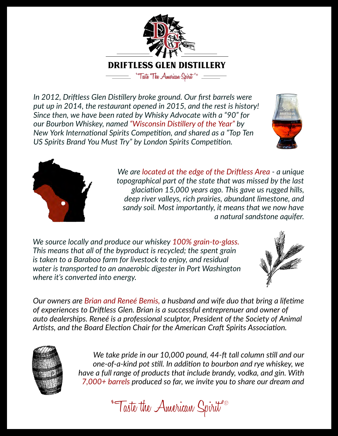

*by Since then, we have been rated Whisky Advocate with a "90" for In 2012, Drifless Glen Distllery broke ground. Our frst barrels were put up in 2014, the restaurant opened in 2015, and the rest is history! our Bourbon Whiskey, named "Wisconsin Distllery of the Year" by New York International Spirits Competition, and shared as a "Top Ten* US Spirits Brand You Must Try" by London Spirits Competition.





*We are located at the edge of the Drifless Area - a unique topographical part of the state that was missed by the last glaciaton 15,000 years ago. This gave us rugged hills, deep river valleys, rich prairies, abundant limestone, and sandy soil. Most importantly, it means that we now have a natural sandstone aquifer.*

*We source locally and produce our whiskey 100% grain-to-glass. converted into energy. where it's is* taken to a Baraboo farm for livestock to enjoy, and residual *This means that all of the byproduct is recycled; the spent grain is taken to a Barasso farm for mostoon to onjoy, and rosdom* 



*Associaton. Craf Spirits Artsts, the Board Electon Chair for the American and* Our owners are Brian and Reneé Bemis, a husband and wife duo that bring a lifetime *and of experiences to owner of Drifless Glen. Brian is a successful entreprenuer auto of Animal dealerships. Reneé Society is a professional sculptor, President of the*



We take pride in our 10,000 pound, 44-ft tall column still and our dre a fail range of produces that include brandy, volka, and give vitility.<br>7,000+ barrels produced so far, we invite you to share our dream and *one-of-a-kind pot stll. we whiskey, In additon to bourbon and rye and full have a With gin. range of products that include brandy, vodka,*

"Taste the American Spirit"®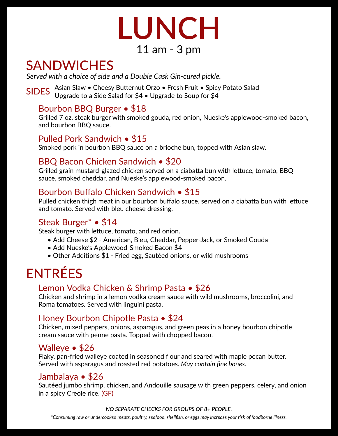

#### 11 am - 3 pm

### **SANDWICHES**

*Served with a choice of side and a Double Cask Gin-cured pickle.*

SIDES Asian Slaw • Cheesy Butternut Orzo • Fresh Fruit • Spicy Potato Salad Listan Start Checky Sutternal Start Treen France Sprey

#### Bourbon BBQ Burger • \$18

<u>stand for the seting from the standard souda, red onion, Nueske's applewood-smoked bacon, steak burger with smoked gouda, red onion, Nueske's applewood-smoked bacon, so</u> and bourbon BBQ sauce.

#### Pulled Pork Sandwich • \$15

Smoked pork in bourbon BBQ sauce on a brioche bun, topped with Asian slaw.

#### BBQ Bacon Chicken Sandwich • \$20

 $\overline{\text{Grilled}}$  grain mustard-glazed chicken served on a ciabatta bun with lettuce, tomato, BBQ Simod gram mastard glazed emerien served on a classica sun with sauce, smoked cheddar, and Nueske's applewood-smoked bacon.

#### Bourbon Buffalo Chicken Sandwich • \$15

Pulled chicken thigh meat in our bourbon buffalo sauce, served on a ciabatta bun with lettuce r allea cheese dign measured because. Same<br>and tomato. Served with bleu cheese dressing.

#### Steak Burger\* • \$14

Steak burger with lettuce, tomato, and red onion.

- Add Cheese \$2 American, Bleu, Cheddar, Pepper-Jack, or Smoked Gouda
- Add Nueske's Applewood-Smoked Bacon \$4
- Other Additions \$1 Fried egg, Sautéed onions, or wild mushrooms

### ENTRÉES

#### Lemon Vodka Chicken & Shrimp Pasta • \$26

Sinchen and similip in a femon yound cream<br>Roma tomatoes. Served with linguini pasta. Chicken and shrimp in a lemon vodka cream sauce with wild mushrooms, broccolini, and

#### Honey Bourbon Chipotle Pasta • \$24

Sinchert, mixed peppers, sinchs, asparagas, and green peas in<br>cream sauce with penne pasta. Topped with chopped bacon. Chicken, mixed peppers, onions, asparagus, and green peas in a honey bourbon chipotle

#### Walleye • \$26

rany, part mea mane, o coated in coaconcal near and coated then mapped<br>Served with asparagus and roasted red potatoes. May contain fine bones. Flaky, pan-fried walleye buter. maple pecan coated in seasoned four and seared with

#### Jambalaya • \$26

surristica, and the state of the same form is contrined to serical state of the S<br>Sautéed jumbo shrimp, chicken, and Andouille sausage with green peppers, celery, and onion **creased Jenne's creating**, sta

#### *NO SEPARATE CHECKS FOR GROUPS OF 8+ PEOPLE.*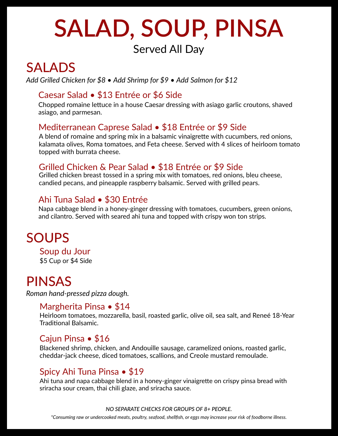## **SALAD, SOUP, PINSA**

#### Served All Day

### SALADS

*Add Grilled Chicken for \$8 • Add Shrimp for \$9 • Add Salmon for \$12*

#### Caesar Salad • \$13 Entrée or \$6 Side

enepped remains reco Chopped romaine letuce in a house Caesar dressing with asiago garlic croutons, shaved

#### Mediterranean Caprese Salad • \$18 Entrée or \$9 Side

relatives, roma comat A blend of romaine and spring mix in a balsamic vinaigrette with cucumbers, red onions, referred of formative and spring this in a baisance vinaigrette with edealingers, red officins,<br>kalamata olives, Roma tomatoes, and Feta cheese. Served with 4 slices of heirloom tomato

#### Grilled Chicken & Pear Salad • \$18 Entrée or \$9 Side

Grilled chicken breast tossed in a spring mix with tomatoes, red onions, bleu cheese, candied pecans, and pineapple raspberry balsamic. Served with grilled pears.

#### Ahi Tuna Salad • \$30 Entrée

riapa cassage siena in a none, ginger aressing with comatess, casamisers, greet<br>and cilantro. Served with seared ahi tuna and topped with crispy won ton strips. Napa cabbage blend in a honey-ginger dressing with tomatoes, cucumbers, green onions,

### SOUPS

\$5 Cup or \$4 Side Soup du Jour

### PINSAS

*Roman hand-pressed pizza dough.*

#### Margherita Pinsa • \$14

Heirloom tomatoes, mozzarella, basil, roasted garlic, olive oil, sea salt, and Reneé 18-Year Traditonal Balsamic.

#### Cajun Pinsa • \$16

Blackened shrimp, chicken, and Andouille sausage, caramelized onions, roasted garlic, cheddar-jack cheese, diced tomatoes, scallions, and Creole mustard remoulade.

#### Spicy Ahi Tuna Pinsa • \$19

Ahi tuna and napa cabbage blend in a honey-ginger vinaigrette on crispy pinsa bread with sriracha sour cream, thai chili glaze, and sriracha sauce.

#### *NO SEPARATE CHECKS FOR GROUPS OF 8+ PEOPLE.*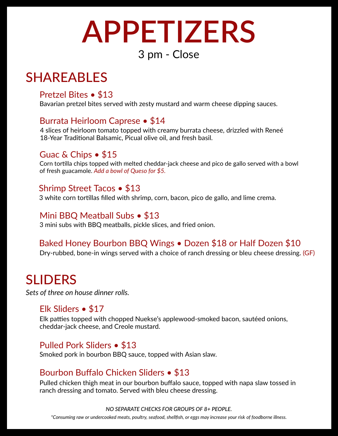### **APPETIZERS** 3 pm - Close

### SHAREABLES

#### Pretzel Bites • \$13

Bavarian pretzel bites served with zesty mustard and warm cheese dipping sauces.

#### Burrata Heirloom Caprese • \$14

1 shees of nemoon temate topped with creamy barrata che<br>18-Year Traditional Balsamic, Picual olive oil, and fresh basil. 4 slices of heirloom tomato topped with creamy burrata cheese, drizzled with Reneé

#### Guac & Chips • \$15

Corn tortilla chips topped with melted cheddar-jack cheese and pico de gallo served with a bowl of fresh guacamole. *Queso for \$5. Add a bowl of*

#### Shrimp Street Tacos • \$13

3 white corn tortillas filled with shrimp, corn, bacon, pico de gallo, and lime crema.

#### Mini BBQ Meatball Subs • \$13

3 mini subs with BBQ meatballs, pickle slices, and fried onion.

#### Baked Honey Bourbon BBQ Wings • Dozen \$18 or Half Dozen \$10

Dry-rubbed, bone-in wings served with a choice of ranch dressing or bleu cheese dressing. (GF)

### SLIDERS

*Sets of three on house dinner rolls.*

#### Elk Sliders • \$17

Elk patties topped with chopped Nuekse's applewood-smoked bacon, sautéed onions, cheddar-jack cheese, and Creole mustard.

#### Pulled Pork Sliders • \$13

Smoked pork in bourbon BBQ sauce, topped with Asian slaw.

#### Bourbon Buffalo Chicken Sliders • \$13

ranch dressing and tomato. Served with bleu cheese dressing. Pulled chicken thigh meat in our bourbon buffalo sauce, topped with napa slaw tossed in

#### *NO SEPARATE CHECKS FOR GROUPS OF 8+ PEOPLE.*

*\*Consuming raw or undercooked meats, poultry, seafood, shellfsh, or eggs may increase your risk foodborne illness. of*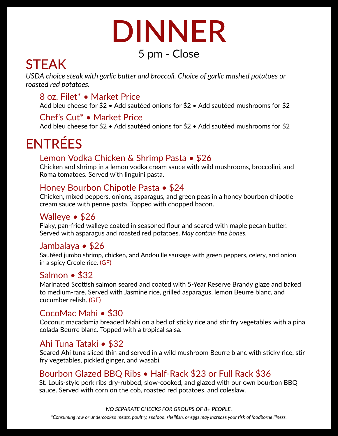### **DINNER** <sup>5</sup> pm - Close

### **STEAK**

USDA choice steak with garlic butter and broccoli. Choice of garlic mashed potatoes or *roasted red potatoes.*

#### 8 oz. Filet\* • Market Price

Add bleu cheese for \$2 • Add sautéed onions for \$2 • Add sautéed mushrooms for \$2

#### Chef's Cut<sup>\*</sup> • Market Price

Add bleu cheese for \$2 • Add sautéed onions for \$2 • Add sautéed mushrooms for \$2

### ENTRÉES

#### Lemon Vodka Chicken & Shrimp Pasta • \$26

**Chicken and shrimp in a lemon vodka cream sauce with wild mushrooms, broccolini, and Chicken** Sinchen and similip in a lemon yound cream<br>Roma tomatoes. Served with linguini pasta.

#### Honey Bourbon Chipotle Pasta • \$24

with cream sauce penne pasta. Topped with chopped bacon. Chicken, mixed peppers, onions, asparagus, and green peas in a honey bourbon chipotle

#### Walleye • \$26

rany, pair mod mandy o course in essession a near and search man maple.<br>Served with asparagus and roasted red potatoes. May contain fine bones. Flaky, pan-fried walleye pecan buter. coated in seasoned four and seared with maple

#### Jambalaya • \$26

Sautéed jumbo shrimp, chicken, and Andouille sausage with green peppers, celery, and onion <u>caassed Janus's commit</u><br>in a spicy Creole rice. (GF)

#### Salmon • \$32

Marinated Scottish salmon seared and coated with 5-Year Reserve Brandy glaze and baked cucumber relish. (GF) and the second commension of the series with a result of the series, gives the start of the series of the seri

#### CocoMac Mahi • \$30

Coconut macadamia breaded Mahi on a bed of sticky rice and stir fry vegetables with a pina colada Beurre blanc. Topped with a tropical salsa.

#### Ahi Tuna Tataki • \$32

Seared Ahi tuna sliced thin and served in a wild mushroom Beurre blanc with sticky rice, stir fry vegetables, pickled ginger, and wasabi.

#### Bourbon Glazed BBQ Ribs • Half-Rack \$23 or Full Rack \$36

ou Eouis style potents any rubbed, siew cooked, and glazed with our or<br>sauce. Served with corn on the cob, roasted red potatoes, and coleslaw. St. Louis-style pork ribs dry-rubbed, slow-cooked, and glazed with our own bourbon BBQ

*NO SEPARATE CHECKS FOR GROUPS OF 8+ PEOPLE.*